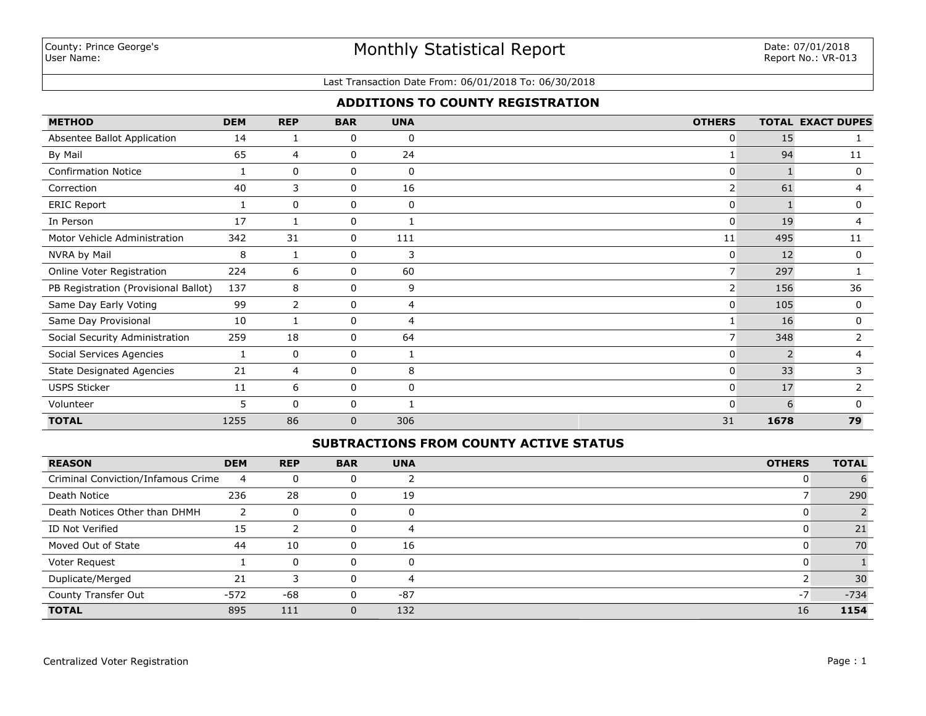## Monthly Statistical Report

#### Last Transaction Date From: 06/01/2018 To: 06/30/2018

## **ADDITIONS TO COUNTY REGISTRATION**

| <b>METHOD</b>                        | <b>DEM</b> | <b>REP</b>     | <b>BAR</b> | <b>UNA</b>     | <b>OTHERS</b>  |               | <b>TOTAL EXACT DUPES</b> |
|--------------------------------------|------------|----------------|------------|----------------|----------------|---------------|--------------------------|
| Absentee Ballot Application          | 14         | 1              | 0          | 0              | 0              | 15            |                          |
| By Mail                              | 65         | 4              | 0          | 24             |                | 94            | 11                       |
| <b>Confirmation Notice</b>           |            | 0              | 0          | 0              | 0              |               | 0                        |
| Correction                           | 40         | 3              | 0          | 16             | $\overline{2}$ | 61            | 4                        |
| <b>ERIC Report</b>                   |            | 0              | 0          | 0              | 0              |               | 0                        |
| In Person                            | 17         | 1              | 0          |                | 0              | 19            | 4                        |
| Motor Vehicle Administration         | 342        | 31             | 0          | 111            | 11             | 495           | 11                       |
| NVRA by Mail                         | 8          | 1              | 0          | 3              | 0              | 12            | 0                        |
| Online Voter Registration            | 224        | 6              | 0          | 60             | $\overline{7}$ | 297           |                          |
| PB Registration (Provisional Ballot) | 137        | 8              | 0          | 9              | $\overline{2}$ | 156           | 36                       |
| Same Day Early Voting                | 99         | $\overline{2}$ | 0          | $\overline{4}$ | 0              | 105           | $\mathbf 0$              |
| Same Day Provisional                 | 10         | 1              | 0          | $\overline{4}$ |                | 16            | 0                        |
| Social Security Administration       | 259        | 18             | 0          | 64             | 7              | 348           | $\mathbf{2}^{\prime}$    |
| Social Services Agencies             |            | 0              | 0          |                | 0              | $\mathcal{P}$ | 4                        |
| <b>State Designated Agencies</b>     | 21         | 4              | 0          | 8              | 0              | 33            | 3                        |
| <b>USPS Sticker</b>                  | 11         | 6              | 0          | 0              | 0              | 17            | $\overline{2}$           |
| Volunteer                            | 5          | $\Omega$       | 0          |                | 0              | 6             | $\Omega$                 |
| <b>TOTAL</b>                         | 1255       | 86             | 0          | 306            | 31             | 1678          | 79                       |

### **SUBTRACTIONS FROM COUNTY ACTIVE STATUS**

| <b>REASON</b>                      | <b>DEM</b> | <b>REP</b>   | <b>BAR</b> | <b>UNA</b>   | <b>OTHERS</b> | <b>TOTAL</b> |
|------------------------------------|------------|--------------|------------|--------------|---------------|--------------|
| Criminal Conviction/Infamous Crime | 4          | 0            |            |              |               |              |
| Death Notice                       | 236        | 28           | 0          | 19           |               | 290          |
| Death Notices Other than DHMH      |            | $\Omega$     |            |              |               |              |
| ID Not Verified                    | 15         | っ            |            | 4            |               | 21           |
| Moved Out of State                 | 44         | 10           | $\Omega$   | 16           | <u>U</u>      | 70           |
| Voter Request                      |            | $\mathbf{0}$ | 0          | <sup>0</sup> |               |              |
| Duplicate/Merged                   | 21         |              |            |              |               | 30           |
| County Transfer Out                | $-572$     | -68          |            | $-87$        | $-7$          | $-734$       |
| <b>TOTAL</b>                       | 895        | 111          |            | 132          | 16            | 1154         |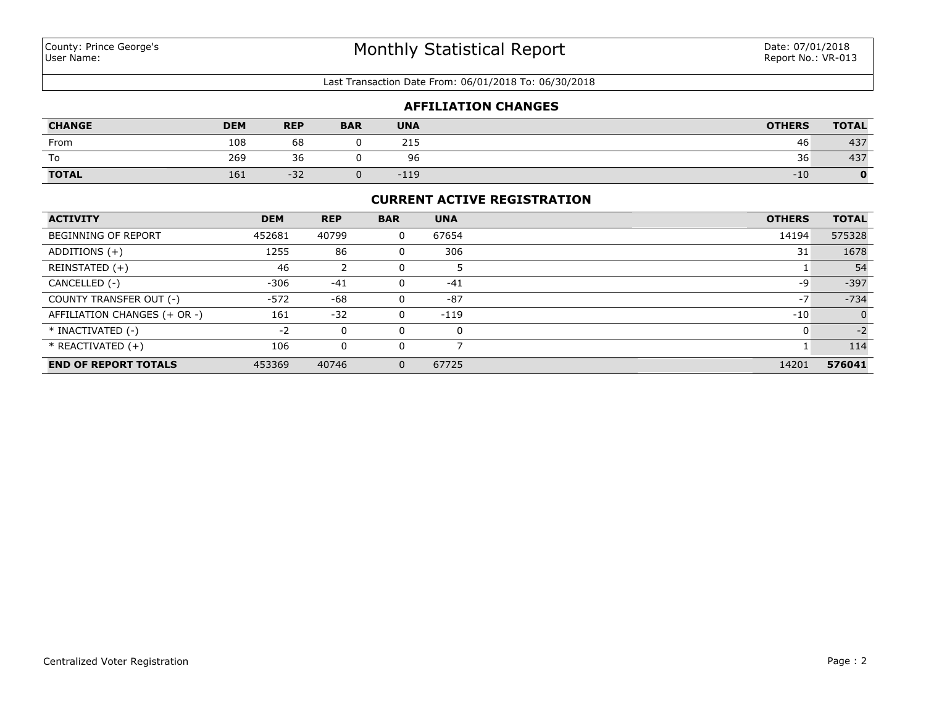#### Last Transaction Date From: 06/01/2018 To: 06/30/2018

#### **AFFILIATION CHANGES**

| <b>CHANGE</b> | <b>DEM</b> | <b>REP</b>         | <b>BAR</b> | <b>UNA</b> | <b>OTHERS</b> | <b>TOTAL</b> |
|---------------|------------|--------------------|------------|------------|---------------|--------------|
| From          | 108        | 68                 |            | 215        | 46            | 437          |
| To            | 269        | $\sim$<br>ィト<br>JU |            | 96         | 36            | 437          |
| <b>TOTAL</b>  | 161        | $-32$              |            | $-119$     | $-10$         |              |

#### **CURRENT ACTIVE REGISTRATION**

| <b>ACTIVITY</b>              | <b>DEM</b> | <b>REP</b> | <b>BAR</b> | <b>UNA</b> | <b>OTHERS</b> | <b>TOTAL</b> |
|------------------------------|------------|------------|------------|------------|---------------|--------------|
| <b>BEGINNING OF REPORT</b>   | 452681     | 40799      | 0          | 67654      | 14194         | 575328       |
| ADDITIONS $(+)$              | 1255       | 86         | 0          | 306        | 31            | 1678         |
| REINSTATED (+)               | 46         |            |            |            |               | 54           |
| CANCELLED (-)                | $-306$     | $-41$      |            | $-41$      | -9            | $-397$       |
| COUNTY TRANSFER OUT (-)      | $-572$     | -68        | 0          | $-87$      | $-7$          | $-734$       |
| AFFILIATION CHANGES (+ OR -) | 161        | $-32$      | 0          | $-119$     | $-10$         |              |
| * INACTIVATED (-)            | $-2$       | 0          |            | 0          |               | $-2$         |
| $*$ REACTIVATED $(+)$        | 106        | 0          |            |            |               | 114          |
| <b>END OF REPORT TOTALS</b>  | 453369     | 40746      | $\Omega$   | 67725      | 14201         | 576041       |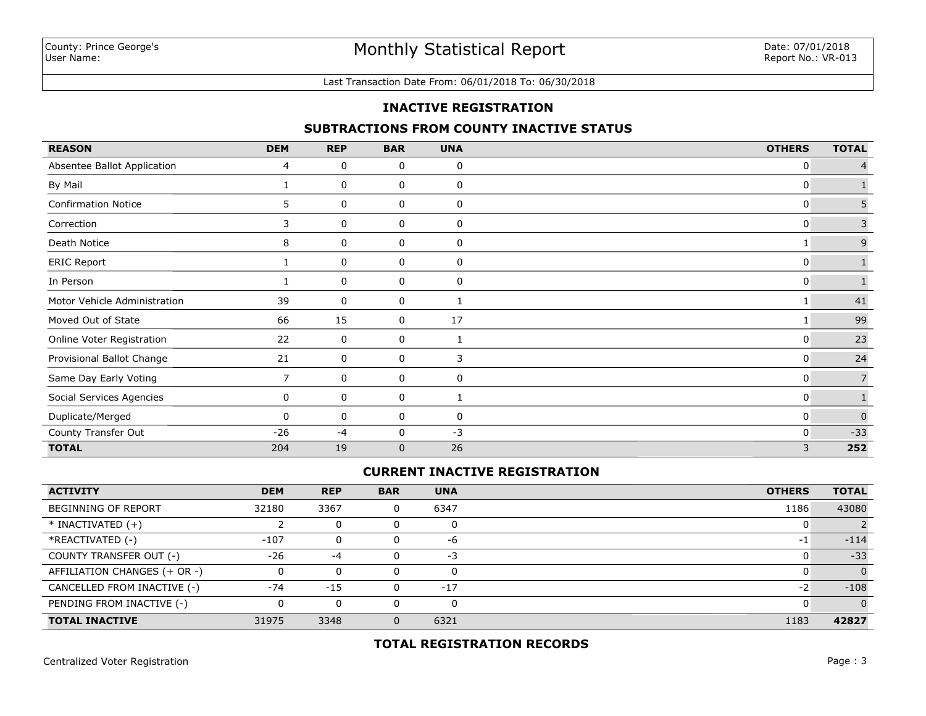Last Transaction Date From: 06/01/2018 To: 06/30/2018

## **INACTIVE REGISTRATION**

### **SUBTRACTIONS FROM COUNTY INACTIVE STATUS**

| <b>REASON</b>                | <b>DEM</b> | <b>REP</b> | <b>BAR</b>   | <b>UNA</b>  | <b>OTHERS</b> | <b>TOTAL</b>   |
|------------------------------|------------|------------|--------------|-------------|---------------|----------------|
| Absentee Ballot Application  | 4          | 0          | 0            | 0           | 0             |                |
| By Mail                      | 1          | 0          | 0            | 0           | 0             |                |
| <b>Confirmation Notice</b>   | 5.         | 0          | 0            | 0           | 0             | 5              |
| Correction                   | 3          | 0          | 0            | 0           | 0             | 3              |
| Death Notice                 | 8          | 0          | 0            | $\mathbf 0$ |               | $\mathsf 9$    |
| <b>ERIC Report</b>           |            | 0          | 0            | 0           | 0             |                |
| In Person                    |            | 0          | 0            | 0           | 0             |                |
| Motor Vehicle Administration | 39         | 0          | 0            | 1           |               | 41             |
| Moved Out of State           | 66         | 15         | 0            | 17          | 1             | 99             |
| Online Voter Registration    | 22         | 0          | 0            | 1           | 0             | 23             |
| Provisional Ballot Change    | 21         | 0          | 0            | 3           | 0             | 24             |
| Same Day Early Voting        | 7          | 0          | 0            | $\mathbf 0$ | 0             | $\overline{7}$ |
| Social Services Agencies     | 0          | 0          | 0            | 1           | 0             |                |
| Duplicate/Merged             | 0          | 0          | 0            | 0           | 0             | $\mathbf 0$    |
| County Transfer Out          | $-26$      | $-4$       | 0            | $-3$        | 0             | $-33$          |
| <b>TOTAL</b>                 | 204        | 19         | $\mathbf{0}$ | 26          | 3             | 252            |

#### **CURRENT INACTIVE REGISTRATION**

| <b>ACTIVITY</b>              | <b>DEM</b> | <b>REP</b> | <b>BAR</b> | <b>UNA</b> | <b>OTHERS</b> | <b>TOTAL</b>   |
|------------------------------|------------|------------|------------|------------|---------------|----------------|
| <b>BEGINNING OF REPORT</b>   | 32180      | 3367       |            | 6347       | 1186          | 43080          |
| $*$ INACTIVATED $(+)$        |            | 0          |            | 0          |               |                |
| *REACTIVATED (-)             | $-107$     | 0          |            | -6         | $-1$          | $-114$         |
| COUNTY TRANSFER OUT (-)      | $-26$      | -4         |            | $-3$       |               | $-33$          |
| AFFILIATION CHANGES (+ OR -) |            | $\Omega$   |            | 0          |               | $\overline{0}$ |
| CANCELLED FROM INACTIVE (-)  | $-74$      | $-15$      |            | $-17$      | $-2$          | $-108$         |
| PENDING FROM INACTIVE (-)    | 0          | 0          |            | 0          |               | $\Omega$       |
| <b>TOTAL INACTIVE</b>        | 31975      | 3348       |            | 6321       | 1183          | 42827          |

**TOTAL REGISTRATION RECORDS**